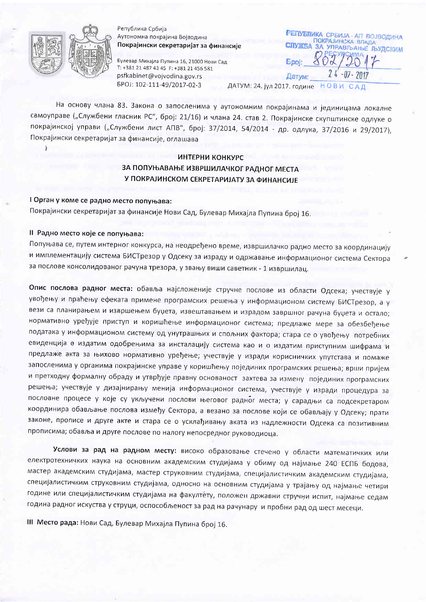

Ï

Република Србија Аутономна покрајина Војводина Покрајински секретаријат за финансије

Булевар Михајла Пупина 16, 21000 Нови Сад T: +381 21 487 43 45 F: +381 21 456 581 psfkabinet@vojvodina.gov.rs EPOJ: 102-111-49/2017-02-3

РЕПУБЛИКА СРБИЈА - АП ВОЈВОДИНА ПОКРАЈИНСКА ВЛАДА **CITVWEA** ЗА УПРАВЉАЊЕ ЉУДСКИМ Датум: ДАТУМ: 24. јул 2017. године HOBW

На основу члана 83. Закона о запосленима у аутономним покрајинама и јединицама локалне самоуправе ("Службени гласник РС", број: 21/16) и члана 24. став 2. Покрајинске скупштинске одлуке о покрајинској управи ("Службени лист АПВ", број: 37/2014, 54/2014 - др. одлука, 37/2016 и 29/2017), Покрајински секретаријат за финансије, оглашава

## ИНТЕРНИ КОНКУРС ЗА ПОПУЊАВАЊЕ ИЗВРШИЛАЧКОГ РАДНОГ МЕСТА У ПОКРАЈИНСКОМ СЕКРЕТАРИЈАТУ ЗА ФИНАНСИЈЕ

## I Орган у коме се радно место попуњава:

Покрајински секретаријат за финансије Нови Сад, Булевар Михајла Пупина број 16.

### II Радно место које се попуњава:

Попуњава се, путем интерног конкурса, на неодређено време, извршилачко радно место за координацију и имплементацију система БИСТрезор у Одсеку за израду и одржавање информационог система Сектора за послове консолидованог рачуна трезора, у звању виши саветник - 1 извршилац.

Опис послова радног места: обавља најсложеније стручне послове из области Одсека; учествује у увођењу и праћењу ефеката примене програмских решења у информационом систему БИСТрезор, а у вези са планирањем и извршењем буџета, извештавањем и израдом завршног рачуна буџета и остало; нормативно уређује приступ и коришћење информационог система; предлаже мере за обезбеђење података у информационом систему од унутрашњих и спољних фактора; стара се о увођењу потребних евиденција о издатим одобрењима за инсталацију система као и о издатим приступним шифрама и предлаже акта за њихово нормативно уређење; учествује у изради корисничких упутстава и помаже запосленима у органима покрајинске управе у коришћењу појединих програмских решења; врши пријем и претходну формалну обраду и утврђује правну основаност захтева за измену појединих програмских решења; учествује у дизајнирању менија информационог система, учествује у изради процедура за пословне процесе у које су укључени послови његовог радног места; у сарадњи са подсекретаром координира обављање послова између Сектора, а везано за послове који се обављају у Одсеку; прати законе, прописе и друге акте и стара се о усклађивању аката из надлежности Одсека са позитивним прописима; обавља и друге послове по налогу непосредног руководиоца.

Услови за рад на радном месту: високо образовање стечено у области математичких или електротехничких наука на основним академским студијама у обиму од најмање 240 ЕСПБ бодова, мастер академским студијама, мастер струковним студијама, специјалистичким академским студијама, специјалистичким струковним студијама, односно на основним студијама у трајању од најмање четири године или специјалистичким студијама на факултету, положен државни стручни испит, најмање седам година радног искуства у струци, оспособљеност за рад на рачунару и пробни рад од шест месеци.

III Место рада: Нови Сад, Булевар Михајла Пупина број 16.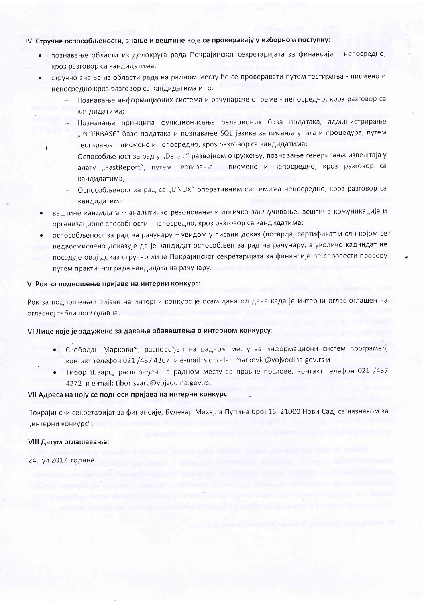### IV Стручне оспособљености, знање и вештине које се проверавају у изборном поступку:

- познавање области из делокруга рада Покрајинског секретаријата за финансије непосредно, кроз разговор са кандидатима;
- стручно знање из области рада на радном месту ће се проверавати путем тестирања писмено и  $\bullet$ непосредно кроз разговор са кандидатима и то:
	- Познавање информационих система и рачунарске опреме непосредно, кроз разговор са кандидатима;
	- Познавање принципа функционисања релационих база података, администрирање "INTERBASE" базе података и познавање SQL језика за писање упита и процедура, путем тестирања - писмено и непосредно, кроз разговор са кандидатима;
	- Оспособљеност за рад у "Delphi" развојном окружењу, познавање генерисања извештаја у алату "FastReport", путем тестирања - писмено и непосредно, кроз разговор са кандидатима;
	- Оспособљеност за рад са "LINUX" оперативним системима непосредно, кроз разговор са кандидатима.
- вештине кандидата аналитичко резоновање и логичко закључивање, вештина комуникације и организационе способности - непосредно, кроз разговор са кандидатима;
- оспособљеност за рад на рачунару увидом у писани доказ (потврда, сертификат и сл.) којом се т недвосмислено доказује да је кандидат оспособљен за рад на рачунару, а уколико каднидат не поседује овај доказ стручно лице Покрајинског секретаријата за финансије ће спровести проверу путем практичног рада кандидата на рачунару.

#### V Рок за подношење пријаве на интерни конкурс:

Рок за подношење пријаве на интерни конкурс је осам дана од дана када је интерни оглас оглашен на огласној табли послодавца.

#### VI Лице које је задужено за давање обавештења о интерном конкурсу:

- Слободан Марковић, распоређен на радном месту за информациони систем програмер, контакт телефон 021 /487 4367 и e-mail: slobodan.markovic@vojvodina.gov.rs и
- Тибор Шварц, распоређен на радном месту за правне послове, контакт телефон 021 /487 4272 и e-mail: tibor.svarc@vojvodina.gov.rs.

**Contract of the contract of the contract of the contract of the contract of the contract of the contract of the** 

#### VII Адреса на коју се подноси пријава на интерни конкурс:

Покрајински секретаријат за финансије, Булевар Михајла Пупина број 16, 21000 Нови Сад, са назнаком за "интерни конкурс".

#### VIII Датум оглашавања:

24. јул 2017. године.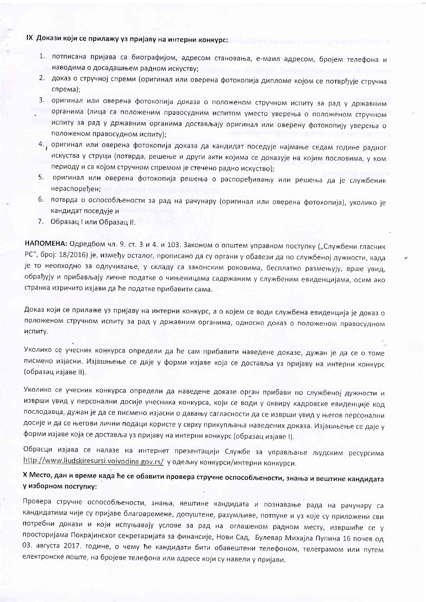# IX Докази који се прилажу уз пријаву на интерни конкурс:

- 1. потписана пријава са биографијом, адресом становања, е-маил адресом, бројем телефона и наводима о досадашњем радном искуству;
- 2. доказ о стручној спреми (оригинал или оверена фотокопија дипломе којом се потврђује стручна спрема);
- 3. оригинал или оверена фотокопија доказа о положеном стручном испиту за рад у државним органима (лица са положеним правосудним испитом уместо уверења о положеном стручном испиту за рад у државним органима достављају оригинал или оверену фотокопију уверења о положеном правосудном испиту);
- 4. оригинал или оверена фотокопија доказа да кандидат поседује најмање седам године радног искуства у струци (потврда, решење и други акти којима се доказује на којим пословима, у ком периоду и са којом стручном спремом је стечено радно искуство);
- 5. оригинал или оверена фотокопија решења о распоређивању или решења да је службеник нераспорећен:
- 6. потврда о оспособљености за рад на рачунару (оригинал или оверена фотокопија), уколико је кандидат поседује и
- 7. Образац Гили Образац II.

НАПОМЕНА: Одредбом чл. 9. ст. 3 и 4. и 103. Законом о општем управном поступку ("Службени гласник РС", број: 18/2016) је, између осталог, прописано да су органи у обавези да по службеној дужности, када је то неопходно за одлучивање, у складу са законским роковима, бесплатно размењују, врше увид, обрађују и прибављају личне податке о чињеницама садржаним у службеним евиденцијама, осим ако странка изричито изјави да ће податке прибавити сама.

Доказ који се прилаже уз пријаву на интерни конкурс, а о којем се води службена евиденција је доказ о положеном стручном испиту за рад у државним органима, односно доказ о положеном правосудном испиту.

Уколико се учесник конкурса определи да ће сам прибавити наведене доказе, дужан је да се о томе писмено изјасни. Изјашњење се даје у форми изјаве која се доставља уз пријаву на интерни конкурс (образац изјаве II).

Уколико се учесник конкурса определи да наведене доказе орган прибави по службеној дужности и изврши увид у персонални досије учесника конкурса, који се води у оквиру кадровске евиденције код послодавца, дужан је да се писмено изјасни о давању сагласности да се изврши увид у његов персонални досије и да се његови лични подаци користе у сврху прикупљања наведених доказа. Изјашњење се даје у форми изјаве која се доставља уз пријаву на интерни конкурс (образац изјаве I).

Обрасци изјава се налазе на интернет презентацији Службе за управљање људским ресурсима http://www.ljudskiresursi.vojvodina.gov.rs/ у одељку конкурси/интерни конкурси.

# Х Место, дан и време када ће се обавити провера стручне оспособљености, знања и вештине кандидата у изборном поступку:

Провера стручне оспособљености, знања, вештине кандидата и познавање рада на рачунару са кандидатима чије су пријаве благовремене, допуштене, разумљиве, потпуне и уз које су приложени сви потребни докази и који испуњавају услове за рад на оглашеном радном месту, извршиће се у просторијама Покрајинског секретаријата за финансије, Нови Сад, Булевар Михајла Пупина 16 почев од 03. августа 2017. године, о чему ће кандидати бити обавештени телефоном, телеграмом или путем електронске поште, на бројеве телефона или адресе који су навели у пријави.